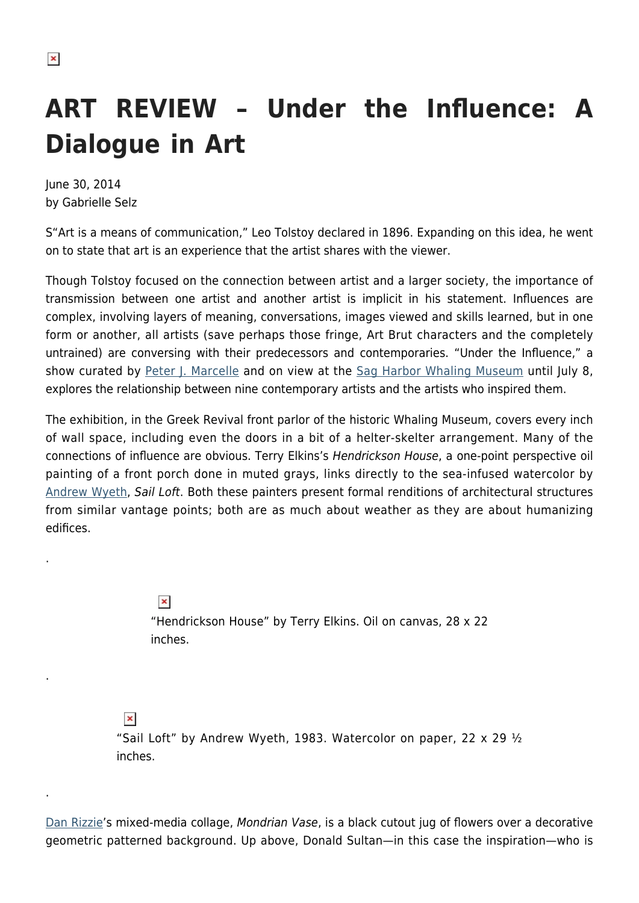.

.

.

## **ART REVIEW – Under the Influence: A Dialogue in Art**

June 30, 2014 by Gabrielle Selz

S"Art is a means of communication," Leo Tolstoy declared in 1896. Expanding on this idea, he went on to state that art is an experience that the artist shares with the viewer.

Though Tolstoy focused on the connection between artist and a larger society, the importance of transmission between one artist and another artist is implicit in his statement. Influences are complex, involving layers of meaning, conversations, images viewed and skills learned, but in one form or another, all artists (save perhaps those fringe, Art Brut characters and the completely untrained) are conversing with their predecessors and contemporaries. "Under the Influence," a show curated by [Peter J. Marcelle](http://www.petermarcelleproject.com/) and on view at the [Sag Harbor Whaling Museum](http://www.sagharborwhalingmuseum.org/) until July 8, explores the relationship between nine contemporary artists and the artists who inspired them.

The exhibition, in the Greek Revival front parlor of the historic Whaling Museum, covers every inch of wall space, including even the doors in a bit of a helter-skelter arrangement. Many of the connections of influence are obvious. Terry Elkins's Hendrickson House, a one-point perspective oil painting of a front porch done in muted grays, links directly to the sea-infused watercolor by [Andrew Wyeth,](http://andrewwyeth.com/) Sail Loft. Both these painters present formal renditions of architectural structures from similar vantage points; both are as much about weather as they are about humanizing edifices.

> $\pmb{\times}$ "Hendrickson House" by Terry Elkins. Oil on canvas, 28 x 22 inches.

 $\pmb{\times}$ 

"Sail Loft" by Andrew Wyeth, 1983. Watercolor on paper, 22  $\times$  29  $\frac{1}{2}$ inches.

[Dan Rizzie'](https://hamptonsarthub.com/2015/05/28/dan-rizzie-looks-to-his-past-to-get-started-on-his-future/)s mixed-media collage, Mondrian Vase, is a black cutout jug of flowers over a decorative geometric patterned background. Up above, Donald Sultan—in this case the inspiration—who is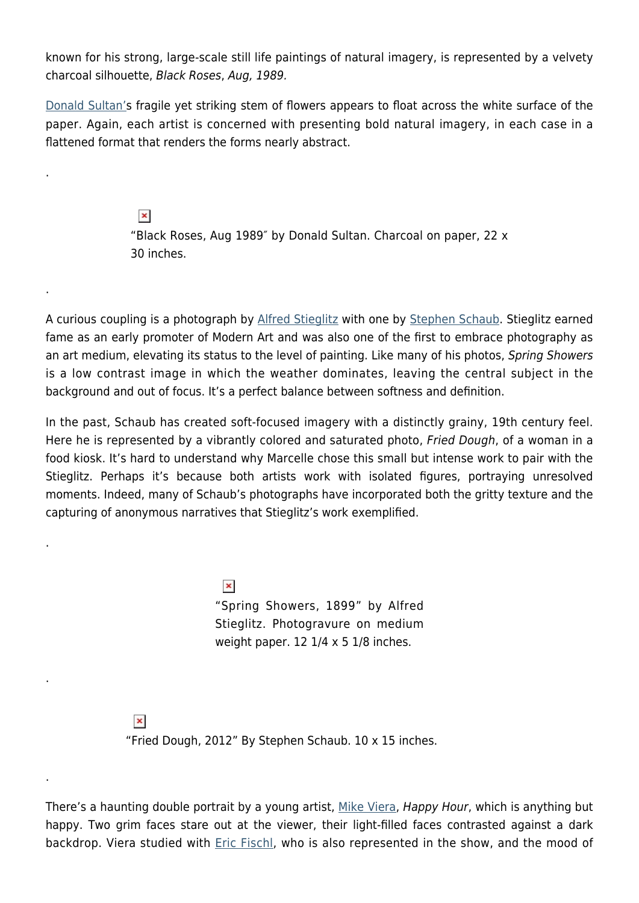known for his strong, large-scale still life paintings of natural imagery, is represented by a velvety charcoal silhouette, Black Roses, Aug, 1989.

[Donald Sultan's](http://donaldsultanstudio.com/) fragile yet striking stem of flowers appears to float across the white surface of the paper. Again, each artist is concerned with presenting bold natural imagery, in each case in a flattened format that renders the forms nearly abstract.

.

.

.

.

.

 $\pmb{\times}$ "Black Roses, Aug 1989″ by Donald Sultan. Charcoal on paper, 22 x 30 inches.

A curious coupling is a photograph by [Alfred Stieglitz](http://www.metmuseum.org/toah/hd/stgp/hd_stgp.htm) with one by [Stephen Schaub.](https://hamptonsarthub.com/2012/09/24/narrative-worlds-drenched-in-vivid-colors-by-stephen-schaub/) Stieglitz earned fame as an early promoter of Modern Art and was also one of the first to embrace photography as an art medium, elevating its status to the level of painting. Like many of his photos, Spring Showers is a low contrast image in which the weather dominates, leaving the central subject in the background and out of focus. It's a perfect balance between softness and definition.

In the past, Schaub has created soft-focused imagery with a distinctly grainy, 19th century feel. Here he is represented by a vibrantly colored and saturated photo, Fried Dough, of a woman in a food kiosk. It's hard to understand why Marcelle chose this small but intense work to pair with the Stieglitz. Perhaps it's because both artists work with isolated figures, portraying unresolved moments. Indeed, many of Schaub's photographs have incorporated both the gritty texture and the capturing of anonymous narratives that Stieglitz's work exemplified.

> $\pmb{\times}$ "Spring Showers, 1899" by Alfred Stieglitz. Photogravure on medium weight paper.  $12 \frac{1}{4} \times 5 \frac{1}{8}$  inches.

 $\pmb{\times}$ "Fried Dough, 2012" By Stephen Schaub. 10 x 15 inches.

There's a haunting double portrait by a young artist, [Mike Viera](http://michaelviera.com/), Happy Hour, which is anything but happy. Two grim faces stare out at the viewer, their light-filled faces contrasted against a dark backdrop. Viera studied with **Eric Fischl**, who is also represented in the show, and the mood of